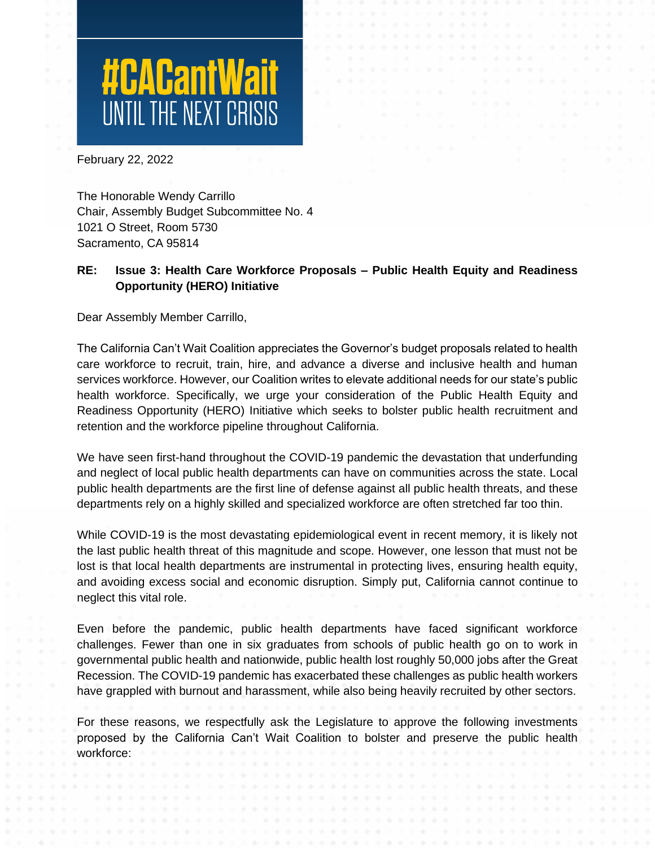# **#CACantWait**

February 22, 2022

The Honorable Wendy Carrillo Chair, Assembly Budget Subcommittee No. 4 1021 O Street, Room 5730 Sacramento, CA 95814

# **RE: Issue 3: Health Care Workforce Proposals – Public Health Equity and Readiness Opportunity (HERO) Initiative**

Dear Assembly Member Carrillo,

The California Can't Wait Coalition appreciates the Governor's budget proposals related to health care workforce to recruit, train, hire, and advance a diverse and inclusive health and human services workforce. However, our Coalition writes to elevate additional needs for our state's public health workforce. Specifically, we urge your consideration of the Public Health Equity and Readiness Opportunity (HERO) Initiative which seeks to bolster public health recruitment and retention and the workforce pipeline throughout California.

We have seen first-hand throughout the COVID-19 pandemic the devastation that underfunding and neglect of local public health departments can have on communities across the state. Local public health departments are the first line of defense against all public health threats, and these departments rely on a highly skilled and specialized workforce are often stretched far too thin.

While COVID-19 is the most devastating epidemiological event in recent memory, it is likely not the last public health threat of this magnitude and scope. However, one lesson that must not be lost is that local health departments are instrumental in protecting lives, ensuring health equity, and avoiding excess social and economic disruption. Simply put, California cannot continue to neglect this vital role.

Even before the pandemic, public health departments have faced significant workforce challenges. Fewer than one in six graduates from schools of public health go on to work in governmental public health and nationwide, public health lost roughly 50,000 jobs after the Great Recession. The COVID-19 pandemic has exacerbated these challenges as public health workers have grappled with burnout and harassment, while also being heavily recruited by other sectors.

For these reasons, we respectfully ask the Legislature to approve the following investments proposed by the California Can't Wait Coalition to bolster and preserve the public health workforce: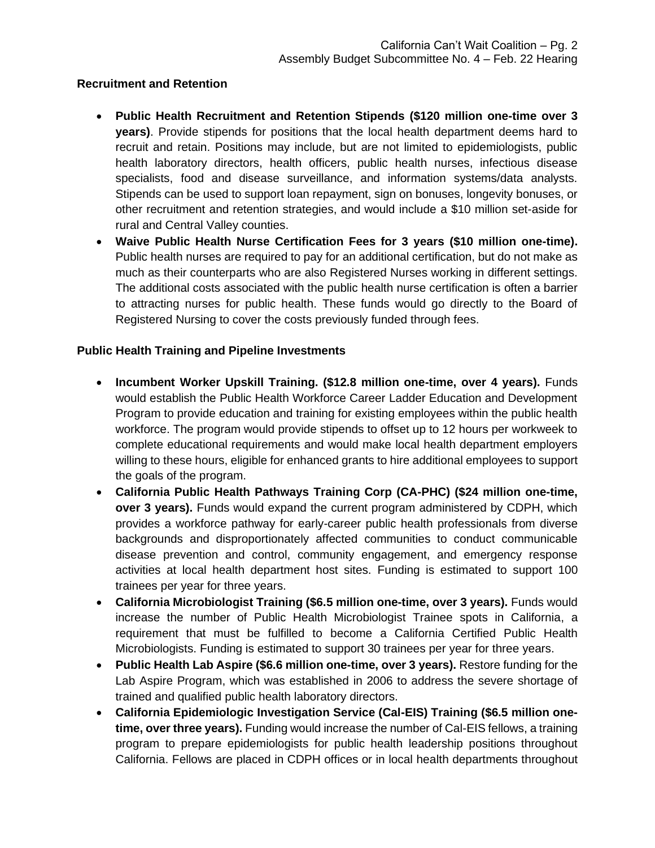## **Recruitment and Retention**

- **Public Health Recruitment and Retention Stipends (\$120 million one-time over 3 years)**. Provide stipends for positions that the local health department deems hard to recruit and retain. Positions may include, but are not limited to epidemiologists, public health laboratory directors, health officers, public health nurses, infectious disease specialists, food and disease surveillance, and information systems/data analysts. Stipends can be used to support loan repayment, sign on bonuses, longevity bonuses, or other recruitment and retention strategies, and would include a \$10 million set-aside for rural and Central Valley counties.
- **Waive Public Health Nurse Certification Fees for 3 years (\$10 million one-time).**  Public health nurses are required to pay for an additional certification, but do not make as much as their counterparts who are also Registered Nurses working in different settings. The additional costs associated with the public health nurse certification is often a barrier to attracting nurses for public health. These funds would go directly to the Board of Registered Nursing to cover the costs previously funded through fees.

# **Public Health Training and Pipeline Investments**

- **Incumbent Worker Upskill Training. (\$12.8 million one-time, over 4 years).** Funds would establish the Public Health Workforce Career Ladder Education and Development Program to provide education and training for existing employees within the public health workforce. The program would provide stipends to offset up to 12 hours per workweek to complete educational requirements and would make local health department employers willing to these hours, eligible for enhanced grants to hire additional employees to support the goals of the program.
- **California Public Health Pathways Training Corp (CA-PHC) (\$24 million one-time, over 3 years).** Funds would expand the current program administered by CDPH, which provides a workforce pathway for early-career public health professionals from diverse backgrounds and disproportionately affected communities to conduct communicable disease prevention and control, community engagement, and emergency response activities at local health department host sites. Funding is estimated to support 100 trainees per year for three years.
- **California Microbiologist Training (\$6.5 million one-time, over 3 years).** Funds would increase the number of Public Health Microbiologist Trainee spots in California, a requirement that must be fulfilled to become a California Certified Public Health Microbiologists. Funding is estimated to support 30 trainees per year for three years.
- **Public Health Lab Aspire (\$6.6 million one-time, over 3 years).** Restore funding for the Lab Aspire Program, which was established in 2006 to address the severe shortage of trained and qualified public health laboratory directors.
- **California Epidemiologic Investigation Service (Cal-EIS) Training (\$6.5 million onetime, over three years).** Funding would increase the number of Cal-EIS fellows, a training program to prepare epidemiologists for public health leadership positions throughout California. Fellows are placed in CDPH offices or in local health departments throughout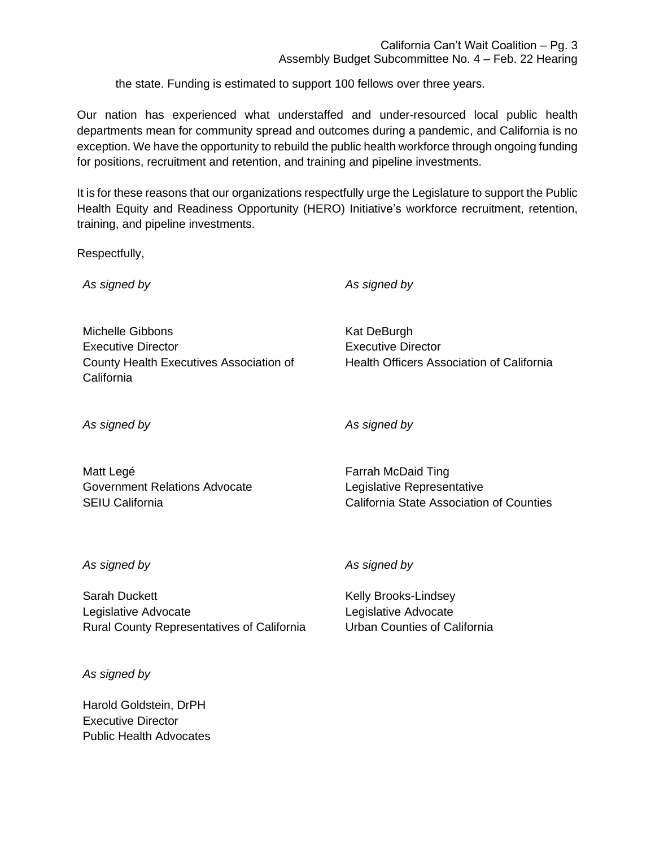the state. Funding is estimated to support 100 fellows over three years.

Our nation has experienced what understaffed and under-resourced local public health departments mean for community spread and outcomes during a pandemic, and California is no exception. We have the opportunity to rebuild the public health workforce through ongoing funding for positions, recruitment and retention, and training and pipeline investments.

It is for these reasons that our organizations respectfully urge the Legislature to support the Public Health Equity and Readiness Opportunity (HERO) Initiative's workforce recruitment, retention, training, and pipeline investments.

Respectfully,

*As signed by*

*As signed by*

Michelle Gibbons Executive Director County Health Executives Association of **California** 

Kat DeBurgh Executive Director Health Officers Association of California

*As signed by*

*As signed by*

Matt Legé Government Relations Advocate SEIU California

Farrah McDaid Ting Legislative Representative California State Association of Counties

*As signed by*

Sarah Duckett Legislative Advocate Rural County Representatives of California

*As signed by*

Harold Goldstein, DrPH Executive Director Public Health Advocates *As signed by*

Kelly Brooks-Lindsey Legislative Advocate Urban Counties of California